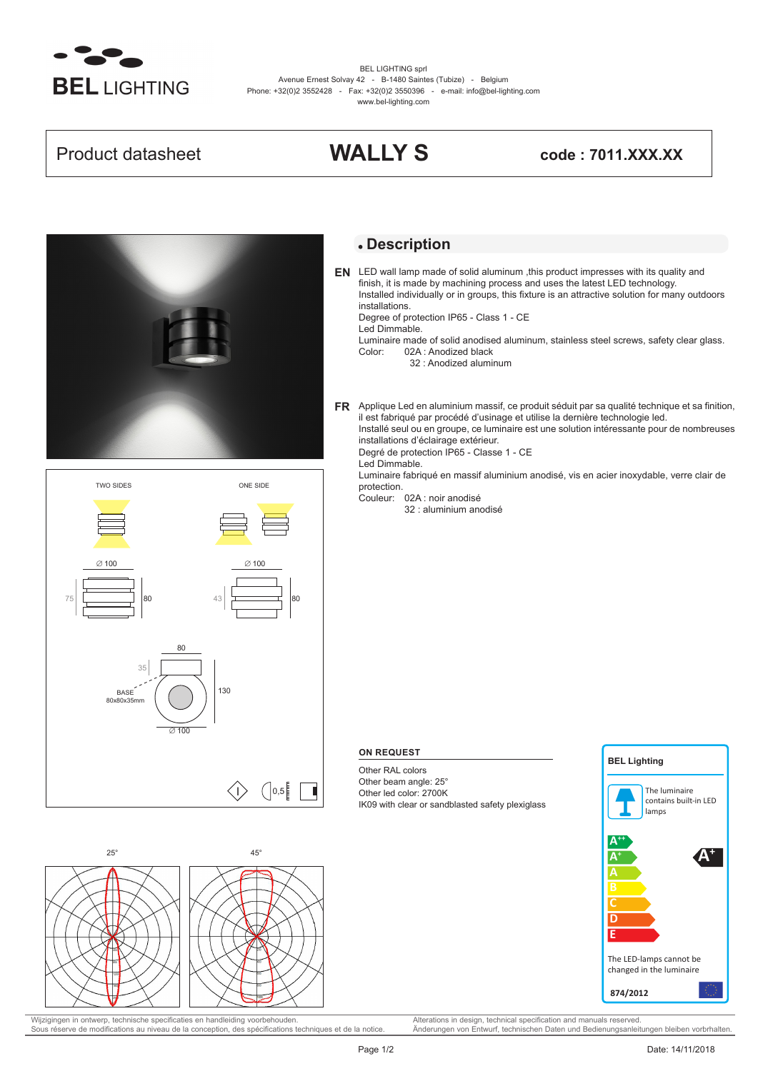

BEL LIGHTING sprl Avenue Ernest Solvay 42 - B-1480 Saintes (Tubize) - Belgium Phone: +32(0)2 3552428 - Fax: +32(0)2 3550396 - e-mail: info@bel-lighting.com www.bel-lighting.com

## Product datasheet **WALLY S code : 7011.XXX.XX**



# $\left( \begin{array}{c} 0,5 \end{array} \right)$ 130 80  $\overline{100}$ 35 BASE 80x80x35mm 75 80 ∅ 100 TWO SIDES  $43$   $\overline{\phantom{0}}$  80 ∅ 100 ONE SIDE



Wijzigingen in ontwerp, technische specificaties en handleiding voorbehouden. Alterations in design, technical specification and manuals reserved.<br>
Sous réserve de modifications au niveau de la conception, des spécificatio Sous réserve de modifications au niveau de la conception, des spécifications techniques et de la notice.

## **Description**

LED wall lamp made of solid aluminum ,this product impresses with its quality and **EN** finish, it is made by machining process and uses the latest LED technology. Installed individually or in groups, this fixture is an attractive solution for many outdoors installations.

Degree of protection IP65 - Class 1 - CE

- Led Dimmable. Luminaire made of solid anodised aluminum, stainless steel screws, safety clear glass.<br>Color: 02A : Anodized black 02A : Anodized black
	- 32 : Anodized aluminum

Applique Led en aluminium massif, ce produit séduit par sa qualité technique et sa finition, **FR** il est fabriqué par procédé d'usinage et utilise la dernière technologie led. Installé seul ou en groupe, ce luminaire est une solution intéressante pour de nombreuses installations d'éclairage extérieur.

Degré de protection IP65 - Classe 1 - CE

Led Dimmable.

Luminaire fabriqué en massif aluminium anodisé, vis en acier inoxydable, verre clair de protection.

Couleur: 02A : noir anodisé

32 : aluminium anodisé

## **ON REQUEST**